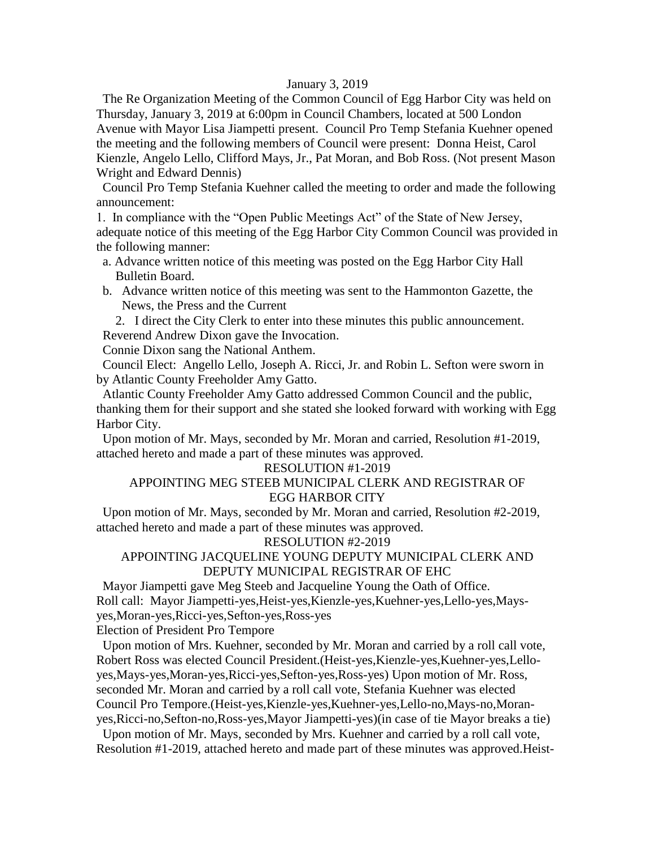#### January 3, 2019

 The Re Organization Meeting of the Common Council of Egg Harbor City was held on Thursday, January 3, 2019 at 6:00pm in Council Chambers, located at 500 London Avenue with Mayor Lisa Jiampetti present. Council Pro Temp Stefania Kuehner opened the meeting and the following members of Council were present: Donna Heist, Carol Kienzle, Angelo Lello, Clifford Mays, Jr., Pat Moran, and Bob Ross. (Not present Mason Wright and Edward Dennis)

 Council Pro Temp Stefania Kuehner called the meeting to order and made the following announcement:

1. In compliance with the "Open Public Meetings Act" of the State of New Jersey, adequate notice of this meeting of the Egg Harbor City Common Council was provided in the following manner:

- a. Advance written notice of this meeting was posted on the Egg Harbor City Hall Bulletin Board.
- b. Advance written notice of this meeting was sent to the Hammonton Gazette, the News, the Press and the Current

2. I direct the City Clerk to enter into these minutes this public announcement. Reverend Andrew Dixon gave the Invocation.

Connie Dixon sang the National Anthem.

 Council Elect: Angello Lello, Joseph A. Ricci, Jr. and Robin L. Sefton were sworn in by Atlantic County Freeholder Amy Gatto.

 Atlantic County Freeholder Amy Gatto addressed Common Council and the public, thanking them for their support and she stated she looked forward with working with Egg Harbor City.

 Upon motion of Mr. Mays, seconded by Mr. Moran and carried, Resolution #1-2019, attached hereto and made a part of these minutes was approved.

#### RESOLUTION #1-2019

## APPOINTING MEG STEEB MUNICIPAL CLERK AND REGISTRAR OF EGG HARBOR CITY

 Upon motion of Mr. Mays, seconded by Mr. Moran and carried, Resolution #2-2019, attached hereto and made a part of these minutes was approved.

#### RESOLUTION #2-2019

#### APPOINTING JACQUELINE YOUNG DEPUTY MUNICIPAL CLERK AND DEPUTY MUNICIPAL REGISTRAR OF EHC

 Mayor Jiampetti gave Meg Steeb and Jacqueline Young the Oath of Office. Roll call: Mayor Jiampetti-yes,Heist-yes,Kienzle-yes,Kuehner-yes,Lello-yes,Maysyes,Moran-yes,Ricci-yes,Sefton-yes,Ross-yes

Election of President Pro Tempore

 Upon motion of Mrs. Kuehner, seconded by Mr. Moran and carried by a roll call vote, Robert Ross was elected Council President.(Heist-yes,Kienzle-yes,Kuehner-yes,Lelloyes,Mays-yes,Moran-yes,Ricci-yes,Sefton-yes,Ross-yes) Upon motion of Mr. Ross, seconded Mr. Moran and carried by a roll call vote, Stefania Kuehner was elected Council Pro Tempore.(Heist-yes,Kienzle-yes,Kuehner-yes,Lello-no,Mays-no,Moranyes,Ricci-no,Sefton-no,Ross-yes,Mayor Jiampetti-yes)(in case of tie Mayor breaks a tie)

 Upon motion of Mr. Mays, seconded by Mrs. Kuehner and carried by a roll call vote, Resolution #1-2019, attached hereto and made part of these minutes was approved.Heist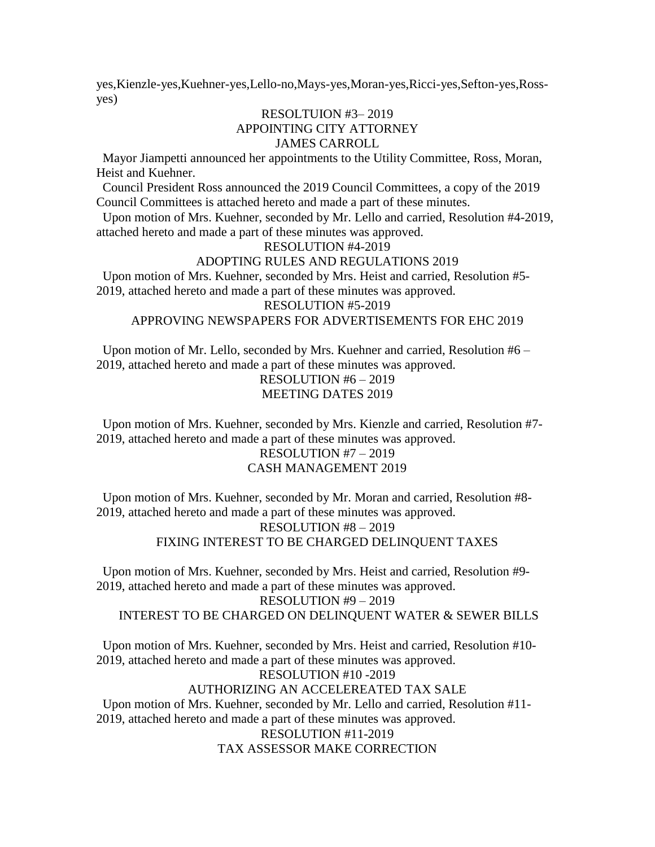yes,Kienzle-yes,Kuehner-yes,Lello-no,Mays-yes,Moran-yes,Ricci-yes,Sefton-yes,Rossyes)

### RESOLTUION #3– 2019 APPOINTING CITY ATTORNEY JAMES CARROLL

 Mayor Jiampetti announced her appointments to the Utility Committee, Ross, Moran, Heist and Kuehner.

 Council President Ross announced the 2019 Council Committees, a copy of the 2019 Council Committees is attached hereto and made a part of these minutes.

 Upon motion of Mrs. Kuehner, seconded by Mr. Lello and carried, Resolution #4-2019, attached hereto and made a part of these minutes was approved.

#### RESOLUTION #4-2019

#### ADOPTING RULES AND REGULATIONS 2019

 Upon motion of Mrs. Kuehner, seconded by Mrs. Heist and carried, Resolution #5- 2019, attached hereto and made a part of these minutes was approved.

RESOLUTION #5-2019

## APPROVING NEWSPAPERS FOR ADVERTISEMENTS FOR EHC 2019

 Upon motion of Mr. Lello, seconded by Mrs. Kuehner and carried, Resolution #6 – 2019, attached hereto and made a part of these minutes was approved. RESOLUTION #6 – 2019

# MEETING DATES 2019

 Upon motion of Mrs. Kuehner, seconded by Mrs. Kienzle and carried, Resolution #7- 2019, attached hereto and made a part of these minutes was approved. RESOLUTION #7 – 2019 CASH MANAGEMENT 2019

 Upon motion of Mrs. Kuehner, seconded by Mr. Moran and carried, Resolution #8- 2019, attached hereto and made a part of these minutes was approved. RESOLUTION #8 – 2019 FIXING INTEREST TO BE CHARGED DELINQUENT TAXES

 Upon motion of Mrs. Kuehner, seconded by Mrs. Heist and carried, Resolution #9- 2019, attached hereto and made a part of these minutes was approved.

# RESOLUTION #9 – 2019

### INTEREST TO BE CHARGED ON DELINQUENT WATER & SEWER BILLS

 Upon motion of Mrs. Kuehner, seconded by Mrs. Heist and carried, Resolution #10- 2019, attached hereto and made a part of these minutes was approved.

#### RESOLUTION #10 -2019

### AUTHORIZING AN ACCELEREATED TAX SALE

 Upon motion of Mrs. Kuehner, seconded by Mr. Lello and carried, Resolution #11- 2019, attached hereto and made a part of these minutes was approved. RESOLUTION #11-2019 TAX ASSESSOR MAKE CORRECTION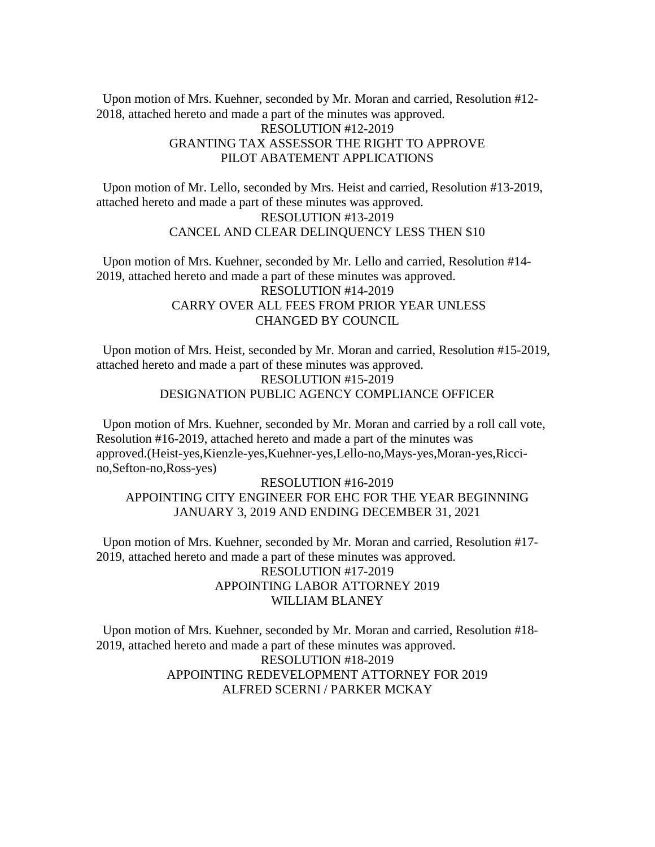Upon motion of Mrs. Kuehner, seconded by Mr. Moran and carried, Resolution #12- 2018, attached hereto and made a part of the minutes was approved.

## RESOLUTION #12-2019 GRANTING TAX ASSESSOR THE RIGHT TO APPROVE PILOT ABATEMENT APPLICATIONS

 Upon motion of Mr. Lello, seconded by Mrs. Heist and carried, Resolution #13-2019, attached hereto and made a part of these minutes was approved. RESOLUTION #13-2019 CANCEL AND CLEAR DELINQUENCY LESS THEN \$10

 Upon motion of Mrs. Kuehner, seconded by Mr. Lello and carried, Resolution #14- 2019, attached hereto and made a part of these minutes was approved. RESOLUTION #14-2019 CARRY OVER ALL FEES FROM PRIOR YEAR UNLESS CHANGED BY COUNCIL

 Upon motion of Mrs. Heist, seconded by Mr. Moran and carried, Resolution #15-2019, attached hereto and made a part of these minutes was approved. RESOLUTION #15-2019

# DESIGNATION PUBLIC AGENCY COMPLIANCE OFFICER

 Upon motion of Mrs. Kuehner, seconded by Mr. Moran and carried by a roll call vote, Resolution #16-2019, attached hereto and made a part of the minutes was approved.(Heist-yes,Kienzle-yes,Kuehner-yes,Lello-no,Mays-yes,Moran-yes,Riccino,Sefton-no,Ross-yes)

# RESOLUTION #16-2019 APPOINTING CITY ENGINEER FOR EHC FOR THE YEAR BEGINNING JANUARY 3, 2019 AND ENDING DECEMBER 31, 2021

 Upon motion of Mrs. Kuehner, seconded by Mr. Moran and carried, Resolution #17- 2019, attached hereto and made a part of these minutes was approved. RESOLUTION #17-2019 APPOINTING LABOR ATTORNEY 2019 WILLIAM BLANEY

 Upon motion of Mrs. Kuehner, seconded by Mr. Moran and carried, Resolution #18- 2019, attached hereto and made a part of these minutes was approved. RESOLUTION #18-2019 APPOINTING REDEVELOPMENT ATTORNEY FOR 2019 ALFRED SCERNI / PARKER MCKAY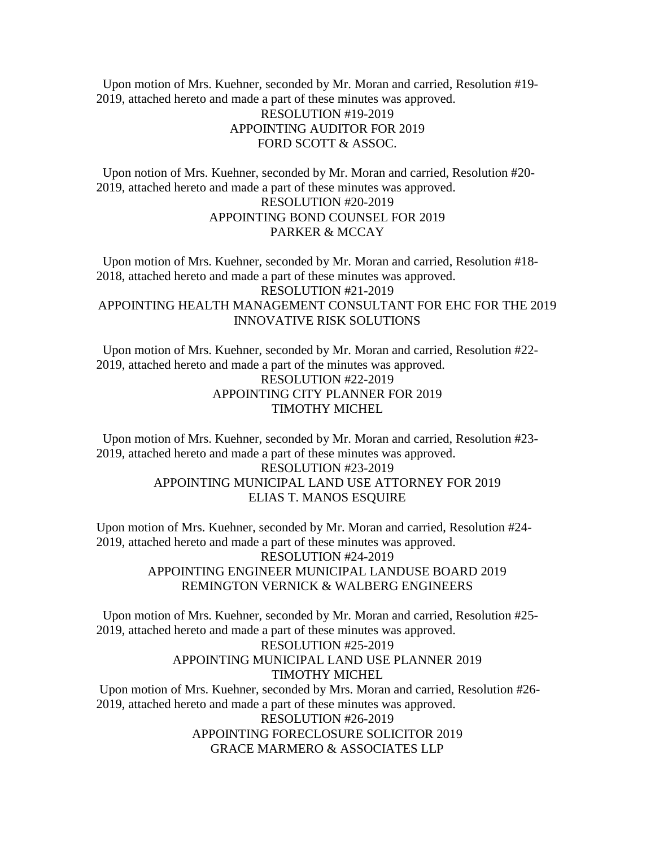Upon motion of Mrs. Kuehner, seconded by Mr. Moran and carried, Resolution #19- 2019, attached hereto and made a part of these minutes was approved.

# RESOLUTION #19-2019 APPOINTING AUDITOR FOR 2019 FORD SCOTT & ASSOC.

 Upon notion of Mrs. Kuehner, seconded by Mr. Moran and carried, Resolution #20- 2019, attached hereto and made a part of these minutes was approved. RESOLUTION #20-2019 APPOINTING BOND COUNSEL FOR 2019 PARKER & MCCAY

 Upon motion of Mrs. Kuehner, seconded by Mr. Moran and carried, Resolution #18- 2018, attached hereto and made a part of these minutes was approved. RESOLUTION #21-2019 APPOINTING HEALTH MANAGEMENT CONSULTANT FOR EHC FOR THE 2019 INNOVATIVE RISK SOLUTIONS

 Upon motion of Mrs. Kuehner, seconded by Mr. Moran and carried, Resolution #22- 2019, attached hereto and made a part of the minutes was approved. RESOLUTION #22-2019 APPOINTING CITY PLANNER FOR 2019 TIMOTHY MICHEL

 Upon motion of Mrs. Kuehner, seconded by Mr. Moran and carried, Resolution #23- 2019, attached hereto and made a part of these minutes was approved.

# RESOLUTION #23-2019 APPOINTING MUNICIPAL LAND USE ATTORNEY FOR 2019 ELIAS T. MANOS ESQUIRE

Upon motion of Mrs. Kuehner, seconded by Mr. Moran and carried, Resolution #24- 2019, attached hereto and made a part of these minutes was approved. RESOLUTION #24-2019 APPOINTING ENGINEER MUNICIPAL LANDUSE BOARD 2019 REMINGTON VERNICK & WALBERG ENGINEERS

 Upon motion of Mrs. Kuehner, seconded by Mr. Moran and carried, Resolution #25- 2019, attached hereto and made a part of these minutes was approved.

## RESOLUTION #25-2019 APPOINTING MUNICIPAL LAND USE PLANNER 2019 TIMOTHY MICHEL

Upon motion of Mrs. Kuehner, seconded by Mrs. Moran and carried, Resolution #26- 2019, attached hereto and made a part of these minutes was approved. RESOLUTION #26-2019 APPOINTING FORECLOSURE SOLICITOR 2019 GRACE MARMERO & ASSOCIATES LLP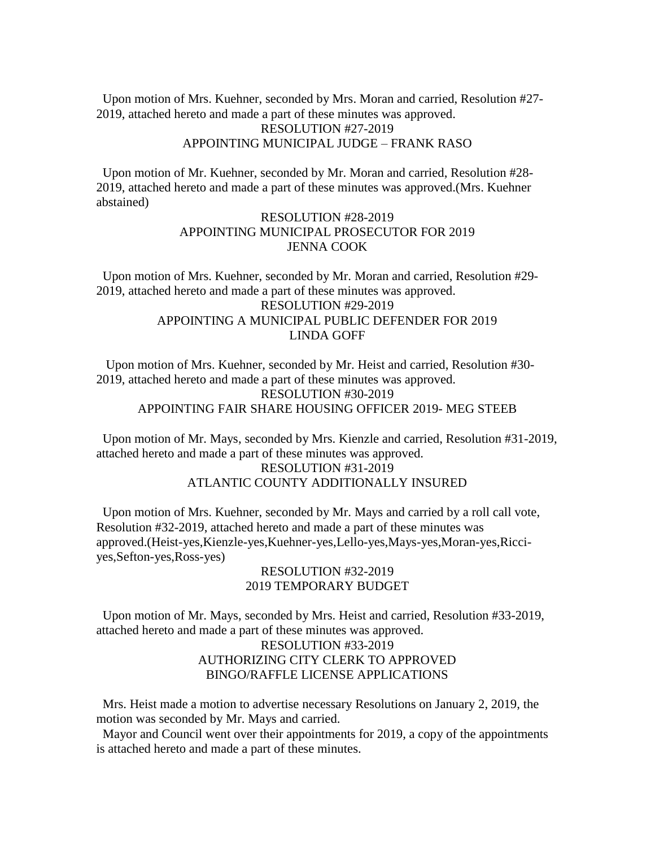Upon motion of Mrs. Kuehner, seconded by Mrs. Moran and carried, Resolution #27- 2019, attached hereto and made a part of these minutes was approved.

#### RESOLUTION #27-2019 APPOINTING MUNICIPAL JUDGE – FRANK RASO

 Upon motion of Mr. Kuehner, seconded by Mr. Moran and carried, Resolution #28- 2019, attached hereto and made a part of these minutes was approved.(Mrs. Kuehner abstained)

## RESOLUTION #28-2019 APPOINTING MUNICIPAL PROSECUTOR FOR 2019 JENNA COOK

 Upon motion of Mrs. Kuehner, seconded by Mr. Moran and carried, Resolution #29- 2019, attached hereto and made a part of these minutes was approved. RESOLUTION #29-2019 APPOINTING A MUNICIPAL PUBLIC DEFENDER FOR 2019 LINDA GOFF

 Upon motion of Mrs. Kuehner, seconded by Mr. Heist and carried, Resolution #30- 2019, attached hereto and made a part of these minutes was approved. RESOLUTION #30-2019 APPOINTING FAIR SHARE HOUSING OFFICER 2019- MEG STEEB

 Upon motion of Mr. Mays, seconded by Mrs. Kienzle and carried, Resolution #31-2019, attached hereto and made a part of these minutes was approved.

## RESOLUTION #31-2019 ATLANTIC COUNTY ADDITIONALLY INSURED

 Upon motion of Mrs. Kuehner, seconded by Mr. Mays and carried by a roll call vote, Resolution #32-2019, attached hereto and made a part of these minutes was approved.(Heist-yes,Kienzle-yes,Kuehner-yes,Lello-yes,Mays-yes,Moran-yes,Ricciyes,Sefton-yes,Ross-yes)

#### RESOLUTION #32-2019 2019 TEMPORARY BUDGET

 Upon motion of Mr. Mays, seconded by Mrs. Heist and carried, Resolution #33-2019, attached hereto and made a part of these minutes was approved.

# RESOLUTION #33-2019 AUTHORIZING CITY CLERK TO APPROVED BINGO/RAFFLE LICENSE APPLICATIONS

 Mrs. Heist made a motion to advertise necessary Resolutions on January 2, 2019, the motion was seconded by Mr. Mays and carried.

 Mayor and Council went over their appointments for 2019, a copy of the appointments is attached hereto and made a part of these minutes.